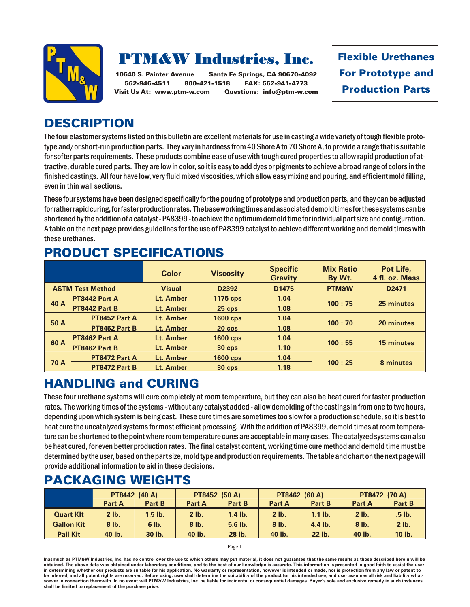

# **PTM&W Industries, Inc.**

10640 S. Painter Avenue Santa Fe Springs, CA 90670-4092 562-946-4511 800-421-1518 FAX: 562-941-4773 Visit Us At: www.ptm-w.com Questions: info@ptm-w.com **Flexible Urethanes For Prototype and Production Parts** 

## **DESCRIPTION**

The four elastomer systems listed on this bulletin are excellent materials for use in casting a wide variety of tough flexible prototype and/or short-run production parts. They vary in hardness from 40 Shore A to 70 Shore A, to provide a range that is suitable for softer parts requirements. These products combine ease of use with tough cured properties to allow rapid production of attractive, durable cured parts. They are low in color, so it is easy to add dyes or pigments to achieve a broad range of colors in the finished castings. All four have low, very fluid mixed viscosities, which allow easy mixing and pouring, and efficient mold filling, even in thin wall sections.

These four systems have been designed specifically for the pouring of prototype and production parts, and they can be adjusted for rather rapid curing, for faster production rates. The base working times and associated demold times for these systems can be shortened by the addition of a catalyst - PA8399 - to achieve the optimum demold time for individual part size and configuration. A table on the next page provides guidelines for the use of PA8399 catalyst to achieve different working and demold times with these urethanes.

#### **PRODUCT SPECIFICATIONS**

|                         |               | <b>Color</b>  | <b>Viscosity</b>  | <b>Specific</b><br><b>Gravity</b> | <b>Mix Ratio</b><br>By Wt. | Pot Life,<br>4 fl. oz. Mass |  |
|-------------------------|---------------|---------------|-------------------|-----------------------------------|----------------------------|-----------------------------|--|
| <b>ASTM Test Method</b> |               | <b>Visual</b> | D <sub>2392</sub> | D <sub>1475</sub>                 | <b>PTM&amp;W</b>           | D <sub>2471</sub>           |  |
| 40 A                    | PT8442 Part A | Lt. Amber     | <b>1175 cps</b>   | 1.04                              |                            | 25 minutes                  |  |
|                         | PT8442 Part B | Lt. Amber     | $25$ cps          | 1.08                              | 100:75                     |                             |  |
| 50 A                    | PT8452 Part A | Lt. Amber     | <b>1600 cps</b>   | 1.04                              |                            |                             |  |
|                         | PT8452 Part B | Lt. Amber     | $20$ cps          | 1.08                              | 100:70                     | 20 minutes                  |  |
| 60 A                    | PT8462 Part A | Lt. Amber     | <b>1600 cps</b>   | 1.04                              |                            |                             |  |
|                         | PT8462 Part B | Lt. Amber     | $30$ cps          | 1.10                              | 100:55                     | <b>15 minutes</b>           |  |
| <b>70 A</b>             | PT8472 Part A | Lt. Amber     | <b>1600 cps</b>   | 1.04                              |                            |                             |  |
|                         | PT8472 Part B | Lt. Amber     | $30$ cps          | 1.18                              | 100:25                     | 8 minutes                   |  |

## **HANDLING and CURING**

These four ure thane systems will cure completely at room temperature, but they can also be heat cured for faster production rates. The working times of the systems - without any catalyst added - allow demolding of the castings in from one to two hours, depending upon which system is being cast. These cure times are sometimes too slow for a production schedule, so it is best to heat cure the uncatalyzed systems for most efficient processing. With the addition of PA8399, demold times at room temperature can be shortened to the point where room temperature cures are acceptable in many cases. The catalyzed systems can also be heat cured, for even better production rates. The final catalyst content, working time cure method and demold time must be determined by the user, based on the part size, mold type and production requirements. The table and chart on the next page will provide additional information to aid in these decisions.

#### **PACKAGING WEIGHTS**

|                   | PT8442 (40 A) |           | <b>PT8452 (50 A)</b> |           | PT8462 (60 A) |           | PT8472 (70 A) |         |
|-------------------|---------------|-----------|----------------------|-----------|---------------|-----------|---------------|---------|
|                   | Part A        | Part B    | Part A               | Part B    | Part A        | Part B    | <b>Part A</b> | Part B  |
| <b>Quart KIt</b>  | $2$ lb.       | $1.5$ lb. | $2$ lb.              | $1.4$ lb. | $2$ lb.       | $1.1$ lb. | $2$ lb.       | .5 lb.  |
| <b>Gallon Kit</b> | $8$ lb.       | $6$ lb.   | $8$ lb.              | $5.6$ lb. | $8$ lb.       | $4.4$ lb. | $8$ lb.       | $2$ lb. |
| <b>Pail Kit</b>   | 40 lb.        | 30 lb.    | 40 lb.               | 28 lb.    | 40 lb.        | 22 lb.    | 40 lb.        | 10 lb.  |

Page 1

Inasmuch as PTM&W Industries, Inc. has no control over the use to which others may put material, it does not guarantee that the same results as those described herein will be obtained. The above data was obtained under laboratory conditions, and to the best of our knowledge is accurate. This information is presented in good faith to assist the user in determining whether our products are suitable for his application. No warranty or representation, however is intended or made, nor is protection from any law be inferred, and all patent rights are reserved. Before using, user shall determine the suitability of the product for his intended use, and user assumes all risk and liability whatsoever in connection therewith. In no event will PTM&W Industries, Inc. be liable for incidental or consequential damages. Buyer's sole and exclusive remedy in such instances shall be limited to replacement of the purchase price.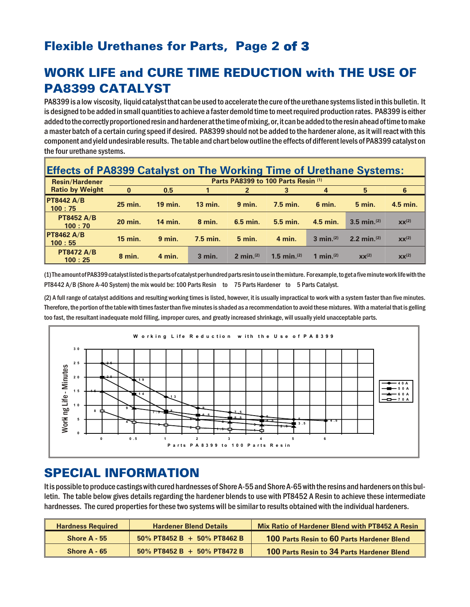# Flexible Urethanes for Parts, Page 2 of 3

# WORK LIFE and CURE TIME REDUCTION with THE USE OF **PA8399 CATALYST**

PA8399 is a low viscosity, liquid catalyst that can be used to accelerate the cure of the urethane systems listed in this bulletin. It is designed to be added in small quantities to achieve a faster demold time to meet required production rates. PA8399 is either added to the correctly proportioned resin and hardener at the time of mixing, or, it can be added to the resin ahead of time to make a master batch of a certain curing speed if desired. PA8399 should not be added to the hardener alone, as it will react with this component and yield undesirable results. The table and chart below outline the effects of different levels of PA8399 catalyst on the four urethane systems.

| <b>Effects of PA8399 Catalyst on The Working Time of Urethane Systems:</b> |                                     |                |                |              |                         |                       |                           |                   |
|----------------------------------------------------------------------------|-------------------------------------|----------------|----------------|--------------|-------------------------|-----------------------|---------------------------|-------------------|
| <b>Resin/Hardener</b>                                                      | Parts PA8399 to 100 Parts Resin (1) |                |                |              |                         |                       |                           |                   |
| <b>Ratio by Weight</b>                                                     | $\mathbf{0}$                        | 0.5            |                | $\mathbf{2}$ |                         | 4                     | 5                         | 6                 |
| <b>PT8442 A/B</b><br>100:75                                                | 25 min.                             | <b>19 min.</b> | <b>13 min.</b> | $9$ min.     | $7.5$ min.              | 6 min.                | <b>5 min.</b>             | 4.5 min.          |
| <b>PT8452 A/B</b><br>100:70                                                | <b>20 min.</b>                      | <b>14 min.</b> | $8$ min.       | $6.5$ min.   | $5.5$ min.              | 4.5 min.              | $3.5$ min. <sup>(2)</sup> | XX <sup>(2)</sup> |
| <b>PT8462 A/B</b><br>100:55                                                | <b>15 min.</b>                      | $9$ min.       | $7.5$ min.     | $5$ min.     | $4$ min.                | 3 min. $(2)$          | 2.2 min. $(2)$            | $XX^{(2)}$        |
| <b>PT8472 A/B</b><br>100:25                                                | $8$ min.                            | 4 min.         | $3$ min.       | 2 min. $(2)$ | 1.5 min. <sup>(2)</sup> | 1 min. <sup>(2)</sup> | $XX^{(2)}$                | XX <sup>(2)</sup> |

(1) The amount of PA8399 catalyst listed is the parts of catalyst per hundred parts resin to use in the mixture. For example, to get a five minute work life with the PT8442 A/B (Shore A-40 System) the mix would be: 100 Parts Resin to 75 Parts Hardener to 5 Parts Catalyst.

(2) A full range of catalyst additions and resulting working times is listed, however, it is usually impractical to work with a system faster than five minutes. Therefore, the portion of the table with times faster than five minutes is shaded as a recommendation to avoid these mixtures. With a material that is gelling too fast, the resultant inadequate mold filling, improper cures, and greatly increased shrinkage, will usually yield unacceptable parts.



## **SPECIAL INFORMATION**

It is possible to produce castings with cured hardnesses of Shore A-55 and Shore A-65 with the resins and hardeners on this bulletin. The table below gives details regarding the hardener blends to use with PT8452 A Resin to achieve these intermediate hardnesses. The cured properties for these two systems will be similar to results obtained with the individual hardeners.

| <b>Hardness Required</b> | <b>Hardener Blend Details</b>  | Mix Ratio of Hardener Blend with PT8452 A Resin |  |  |
|--------------------------|--------------------------------|-------------------------------------------------|--|--|
| Shore $A - 55$           | 50% PT8452 B + 50% PT8462 B    | 100 Parts Resin to 60 Parts Hardener Blend      |  |  |
| Shore $A - 65$           | $50\%$ PT8452 B + 50% PT8472 B | 100 Parts Resin to 34 Parts Hardener Blend      |  |  |